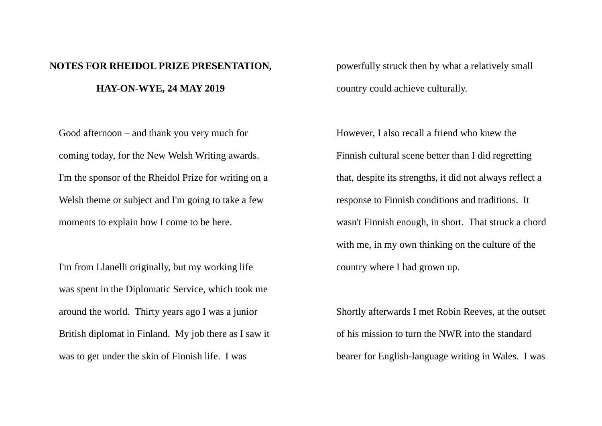## **NOTES FOR RHEIDOL PRIZE PRESENTATION, HAY-ON-WYE, 24 MAY 2019**

powerfully struck then by what a relatively small country could achieve culturally.

Good afternoon – and thank you very much for coming today, for the New Welsh Writing awards. I'm the sponsor of the Rheidol Prize for writing on a Welsh theme or subject and I'm going to take a few moments to explain how I come to be here.

I'm from Llanelli originally, but my working life was spent in the Diplomatic Service, which took me around the world. Thirty years ago I was a junior British diplomat in Finland. My job there as I saw it was to get under the skin of Finnish life. I was

However, I also recall a friend who knew the Finnish cultural scene better than I did regretting that, despite its strengths, it did not always reflect a response to Finnish conditions and traditions. It wasn't Finnish enough, in short. That struck a chord with me, in my own thinking on the culture of the country where I had grown up.

Shortly afterwards I met Robin Reeves, at the outset of his mission to turn the NWR into the standard bearer for English-language writing in Wales. I was